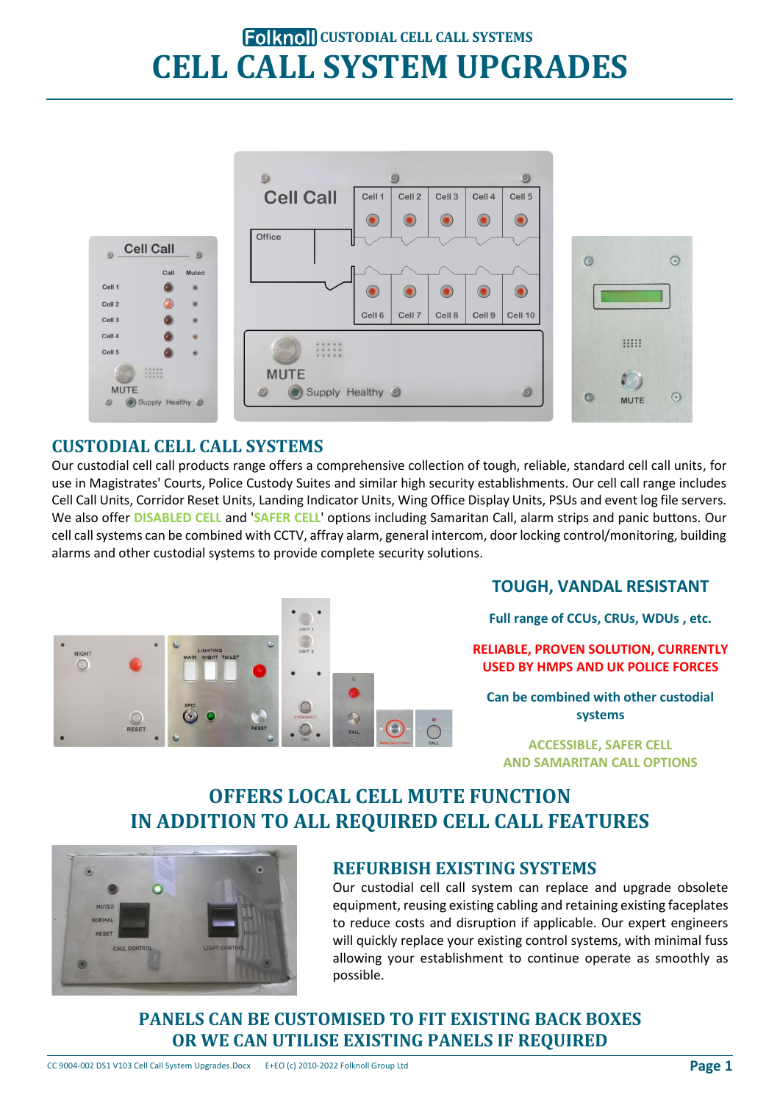# **Folknoll CUSTODIAL CELL CALL SYSTEMS CELL CALL SYSTEM UPGRADES**



### **CUSTODIAL CELL CALL SYSTEMS**

Our custodial cell call products range offers a comprehensive collection of tough, reliable, standard cell call units, for use in Magistrates' Courts, Police Custody Suites and similar high security establishments. Our cell call range includes Cell Call Units, Corridor Reset Units, Landing Indicator Units, Wing Office Display Units, PSUs and event log file servers. We also offer **DISABLED CELL** and '**SAFER CELL**' options including Samaritan Call, alarm strips and panic buttons. Our cell call systems can be combined with CCTV, affray alarm, general intercom, door locking control/monitoring, building alarms and other custodial systems to provide complete security solutions.



### **TOUGH, VANDAL RESISTANT**

**Full range of CCUs, CRUs, WDUs , etc.**

**RELIABLE, PROVEN SOLUTION, CURRENTLY USED BY HMPS AND UK POLICE FORCES**

**Can be combined with other custodial systems**

**ACCESSIBLE, SAFER CELL AND SAMARITAN CALL OPTIONS**

### **OFFERS LOCAL CELL MUTE FUNCTION IN ADDITION TO ALL REQUIRED CELL CALL FEATURES**



### **REFURBISH EXISTING SYSTEMS**

Our custodial cell call system can replace and upgrade obsolete equipment, reusing existing cabling and retaining existing faceplates to reduce costs and disruption if applicable. Our expert engineers will quickly replace your existing control systems, with minimal fuss allowing your establishment to continue operate as smoothly as possible.

**PANELS CAN BE CUSTOMISED TO FIT EXISTING BACK BOXES OR WE CAN UTILISE EXISTING PANELS IF REQUIRED**